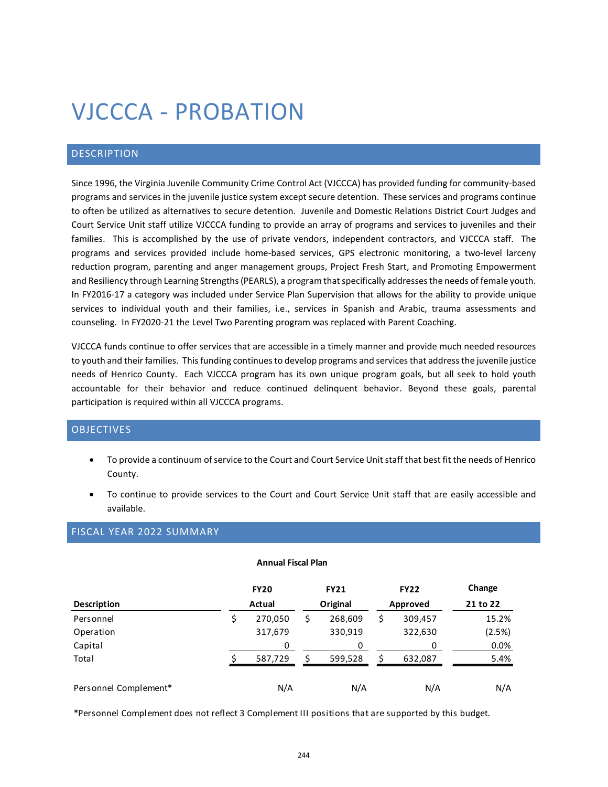# VJCCCA - PROBATION

# DESCRIPTION

Since 1996, the Virginia Juvenile Community Crime Control Act (VJCCCA) has provided funding for community-based programs and services in the juvenile justice system except secure detention. These services and programs continue to often be utilized as alternatives to secure detention. Juvenile and Domestic Relations District Court Judges and Court Service Unit staff utilize VJCCCA funding to provide an array of programs and services to juveniles and their families. This is accomplished by the use of private vendors, independent contractors, and VJCCCA staff. The programs and services provided include home-based services, GPS electronic monitoring, a two-level larceny reduction program, parenting and anger management groups, Project Fresh Start, and Promoting Empowerment and Resiliency through Learning Strengths (PEARLS), a program that specifically addresses the needs of female youth. In FY2016-17 a category was included under Service Plan Supervision that allows for the ability to provide unique services to individual youth and their families, i.e., services in Spanish and Arabic, trauma assessments and counseling. In FY2020-21 the Level Two Parenting program was replaced with Parent Coaching.

VJCCCA funds continue to offer services that are accessible in a timely manner and provide much needed resources to youth and their families. This funding continues to develop programs and services that address the juvenile justice needs of Henrico County. Each VJCCCA program has its own unique program goals, but all seek to hold youth accountable for their behavior and reduce continued delinquent behavior. Beyond these goals, parental participation is required within all VJCCCA programs.

## OBJECTIVES

- To provide a continuum of service to the Court and Court Service Unit staff that best fit the needs of Henrico County.
- To continue to provide services to the Court and Court Service Unit staff that are easily accessible and available.

# FISCAL YEAR 2022 SUMMARY

| <b>Annual Fiscal Plan</b> |        |             |          |             |          |             |          |  |  |  |
|---------------------------|--------|-------------|----------|-------------|----------|-------------|----------|--|--|--|
|                           |        | <b>FY20</b> |          | <b>FY21</b> |          | <b>FY22</b> | Change   |  |  |  |
| <b>Description</b>        | Actual |             | Original |             | Approved |             | 21 to 22 |  |  |  |
| Personnel                 |        | 270,050     | S        | 268,609     | \$       | 309,457     | 15.2%    |  |  |  |
| Operation                 |        | 317,679     |          | 330,919     |          | 322,630     | (2.5%)   |  |  |  |
| Capital                   |        | 0           |          | 0           |          | 0           | 0.0%     |  |  |  |
| Total                     |        | 587,729     |          | 599,528     | Ś        | 632,087     | 5.4%     |  |  |  |
| Personnel Complement*     |        | N/A         |          | N/A         |          | N/A         | N/A      |  |  |  |

#### **Annual Fiscal Plan**

\*Personnel Complement does not reflect 3 Complement III positions that are supported by this budget.